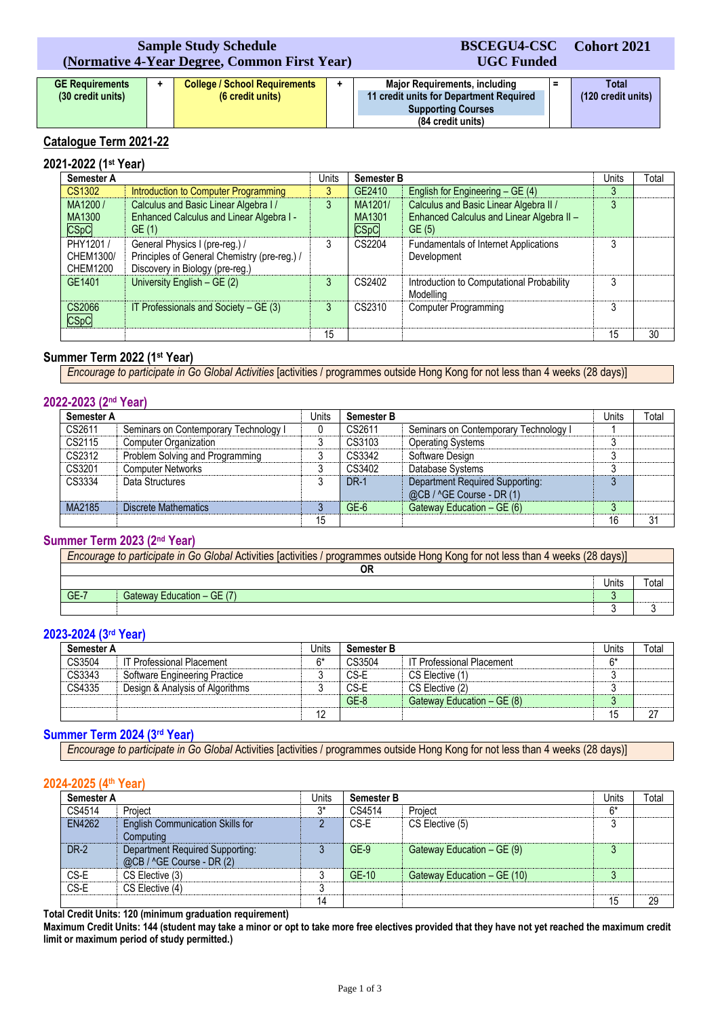# **Sample Study Schedule (Normative 4-Year Degree, Common First Year)**

# **BSCEGU4-CSC UGC Funded**

**Cohort 2021**

| <b>GE Requirements</b> | <b>College / School Requirements</b> | <b>Major Requirements, including</b>    |  | Total              |
|------------------------|--------------------------------------|-----------------------------------------|--|--------------------|
| (30 credit units)      | (6 credit units)                     | 11 credit units for Department Required |  | (120 credit units) |
|                        |                                      | <b>Supporting Courses</b>               |  |                    |
|                        |                                      | (84 credit units)                       |  |                    |

# **Catalogue Term 2021-22**

#### **2021-2022 (1st Year) Semester A** Units **Semester B** Units Total CS1302 Introduction to Computer Programming 3 GE2410 English for Engineering – GE (4) 3 3<br>MA1200 / Calculus and Basic Linear Algebra I / 3 3 MA1201 / Calculus and Basic Linear Algebra II / 3 MA1200 / MA1300 CSpC Calculus and Basic Linear Algebra I / Enhanced Calculus and Linear Algebra I - GE (1) MA1201/ MA1301 CSpC Calculus and Basic Linear Algebra II / Enhanced Calculus and Linear Algebra II – GE (5) 3 PHY1201 / CHEM1300/ CHEM1200 General Physics I (pre-reg.) / Principles of General Chemistry (pre-reg.) / Discovery in Biology (pre-reg.) 3 CS2204 Fundamentals of Internet Applications Development  $\overline{3}$ GE1401 University English – GE (2) 3 CS2402 Introduction to Computational Probability Modelling<br>Computer Programming 3 CS2066 CSpC IT Professionals and Society – GE (3) 3 CS2310 Computer Programming 3 3 15 15 30

# **Summer Term 2022 (1st Year)**

*Encourage to participate in Go Global Activities* [activities / programmes outside Hong Kong for not less than 4 weeks (28 days)]

# **2022-2023 (2nd Year)**

| <b>Semester A</b> |                                       | Units | <b>Semester B</b> |                                                              | Units | Total |
|-------------------|---------------------------------------|-------|-------------------|--------------------------------------------------------------|-------|-------|
| CS2611            | Seminars on Contemporary Technology I |       | CS2611            | Seminars on Contemporary Technology I                        |       |       |
| CS2115            | <b>Computer Organization</b>          | ົ     | CS3103            | <b>Operating Systems</b>                                     |       |       |
| CS2312            | Problem Solving and Programming       |       | CS3342            | Software Design                                              |       |       |
| CS3201            | <b>Computer Networks</b>              |       | CS3402            | Database Systems                                             |       |       |
| CS3334            | Data Structures                       |       | <b>DR-1</b>       | Department Required Supporting:<br>@CB / ^GE Course - DR (1) |       |       |
| MA2185            | Discrete Mathematics                  |       | $GE-6$            | Gateway Education - GE (6)                                   |       |       |
|                   |                                       | 15    |                   |                                                              | 16    | 31    |

# **Summer Term 2023 (2nd Year)**

| Encourage to participate in Go Global Activities [activities / programmes outside Hong Kong for not less than 4 weeks (28 days)] |                            |       |       |  |  |
|----------------------------------------------------------------------------------------------------------------------------------|----------------------------|-------|-------|--|--|
|                                                                                                                                  | OF                         |       |       |  |  |
|                                                                                                                                  |                            | Units | ⊤otai |  |  |
| $GE-7$                                                                                                                           | Gateway Education - GE (7) |       |       |  |  |
|                                                                                                                                  |                            |       |       |  |  |

# **2023-2024 (3rd Year)**

| Semester A |                                 | Units | <b>Semester B</b> |                                  | Jnits | Total |
|------------|---------------------------------|-------|-------------------|----------------------------------|-------|-------|
| CS3504     | IT Professional Placement       | $6*$  | CS3504            | <b>IT Professional Placement</b> | 6*    |       |
| CS3343     | Software Engineering Practice   |       | CS-E              | CS Elective (1)                  |       |       |
| CS4335     | Design & Analysis of Algorithms |       | CS-E              | CS Elective (2)                  |       |       |
|            |                                 |       | $GE-8$            | Gateway Education - GE (8)       | J     |       |
|            |                                 | 12    |                   |                                  | 15    | 27    |

# **Summer Term 2024 (3rd Year)**

*Encourage to participate in Go Global* Activities [activities / programmes outside Hong Kong for not less than 4 weeks (28 days)]

### **2024-2025 (4th Year)**

| <b>Semester A</b> |                                                              | Units | <b>Semester B</b> |                             |      | Total |
|-------------------|--------------------------------------------------------------|-------|-------------------|-----------------------------|------|-------|
| CS4514            | Project                                                      | $3*$  | CS4514            | Project                     | $6*$ |       |
| EN4262            | <b>English Communication Skills for</b><br>Computing         |       | CS-E              | CS Elective (5)             |      |       |
| <b>DR-2</b>       | Department Required Supporting:<br>@CB / ^GE Course - DR (2) |       | $GE-9$            | Gateway Education - GE (9)  | s.   |       |
| CS-E              | CS Elective (3)                                              |       | GE-10             | Gateway Education - GE (10) |      |       |
| CS-E              | CS Elective (4)                                              |       |                   |                             |      |       |
|                   |                                                              | 14    |                   |                             | 15   | 29    |

**Total Credit Units: 120 (minimum graduation requirement)**

**Maximum Credit Units: 144 (student may take a minor or opt to take more free electives provided that they have not yet reached the maximum credit limit or maximum period of study permitted.)**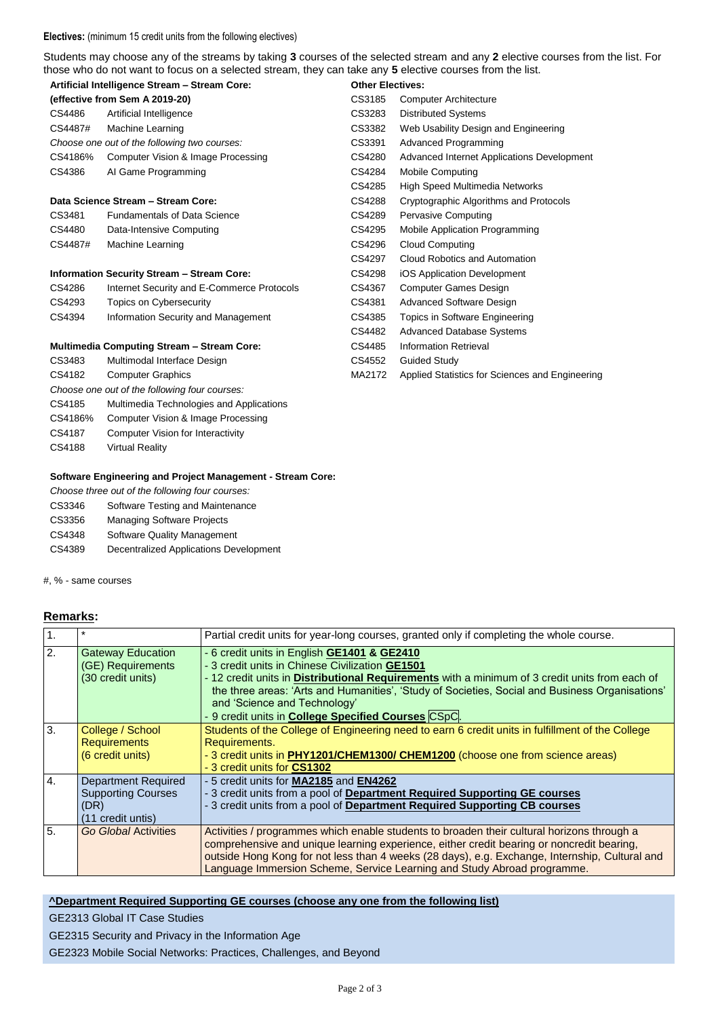#### **Electives:** (minimum 15 credit units from the following electives)

Students may choose any of the streams by taking **3** courses of the selected stream and any **2** elective courses from the list. For those who do not want to focus on a selected stream, they can take any **5** elective courses from the list.

| Artificial Intelligence Stream - Stream Core:     |                                                   | <b>Other Electives:</b> |                                                 |
|---------------------------------------------------|---------------------------------------------------|-------------------------|-------------------------------------------------|
| (effective from Sem A 2019-20)                    |                                                   | CS3185                  | <b>Computer Architecture</b>                    |
| CS4486                                            | Artificial Intelligence                           | CS3283                  | <b>Distributed Systems</b>                      |
| CS4487#                                           | Machine Learning                                  | CS3382                  | Web Usability Design and Engineering            |
|                                                   | Choose one out of the following two courses:      | CS3391                  | <b>Advanced Programming</b>                     |
| CS4186%                                           | Computer Vision & Image Processing                | CS4280                  | Advanced Internet Applications Development      |
| CS4386                                            | Al Game Programming                               | CS4284                  | <b>Mobile Computing</b>                         |
|                                                   |                                                   | CS4285                  | <b>High Speed Multimedia Networks</b>           |
|                                                   | Data Science Stream - Stream Core:                | CS4288                  | Cryptographic Algorithms and Protocols          |
| CS3481                                            | <b>Fundamentals of Data Science</b>               | CS4289                  | <b>Pervasive Computing</b>                      |
| CS4480                                            | Data-Intensive Computing                          | CS4295                  | Mobile Application Programming                  |
| CS4487#                                           | Machine Learning                                  | CS4296                  | <b>Cloud Computing</b>                          |
|                                                   |                                                   | CS4297                  | Cloud Robotics and Automation                   |
|                                                   | <b>Information Security Stream - Stream Core:</b> | CS4298                  | iOS Application Development                     |
| CS4286                                            | Internet Security and E-Commerce Protocols        | CS4367                  | <b>Computer Games Design</b>                    |
| CS4293                                            | Topics on Cybersecurity                           | CS4381                  | Advanced Software Design                        |
| CS4394                                            | Information Security and Management               | CS4385                  | Topics in Software Engineering                  |
|                                                   |                                                   | CS4482                  | Advanced Database Systems                       |
| <b>Multimedia Computing Stream - Stream Core:</b> |                                                   | CS4485                  | <b>Information Retrieval</b>                    |
| CS3483                                            | Multimodal Interface Design                       | CS4552                  | Guided Study                                    |
| CS4182                                            | <b>Computer Graphics</b>                          | MA2172                  | Applied Statistics for Sciences and Engineering |

#### **Software Engineering and Project Management - Stream Core:**

*Choose three out of the following four courses:*

*Choose one out of the following four courses:*

CS4185 Multimedia Technologies and Applications CS4186% Computer Vision & Image Processing CS4187 Computer Vision for Interactivity

- CS3346 Software Testing and Maintenance
- CS3356 Managing Software Projects

CS4188 Virtual Reality

- CS4348 Software Quality Management
- CS4389 Decentralized Applications Development

#, % - same courses

## **Remarks:**

| $\mathbf{1}$ .   | $\star$                                                                              | Partial credit units for year-long courses, granted only if completing the whole course.                                                                                                                                                                                                                                                                                                          |  |  |  |
|------------------|--------------------------------------------------------------------------------------|---------------------------------------------------------------------------------------------------------------------------------------------------------------------------------------------------------------------------------------------------------------------------------------------------------------------------------------------------------------------------------------------------|--|--|--|
| $\overline{2}$ . | <b>Gateway Education</b><br>(GE) Requirements<br>(30 credit units)                   | - 6 credit units in English GE1401 & GE2410<br>- 3 credit units in Chinese Civilization GE1501<br>- 12 credit units in Distributional Requirements with a minimum of 3 credit units from each of<br>the three areas: 'Arts and Humanities', 'Study of Societies, Social and Business Organisations'<br>and 'Science and Technology'<br>- 9 credit units in <b>College Specified Courses</b> CSpC. |  |  |  |
| 3.               | College / School<br><b>Requirements</b><br>(6 credit units)                          | Students of the College of Engineering need to earn 6 credit units in fulfillment of the College<br>Requirements.<br>- 3 credit units in PHY1201/CHEM1300/ CHEM1200 (choose one from science areas)<br>- 3 credit units for CS1302                                                                                                                                                                |  |  |  |
| 4.               | <b>Department Required</b><br><b>Supporting Courses</b><br>(DR)<br>(11 credit untis) | - 5 credit units for MA2185 and EN4262<br>- 3 credit units from a pool of Department Required Supporting GE courses<br>- 3 credit units from a pool of Department Required Supporting CB courses                                                                                                                                                                                                  |  |  |  |
| 5.               | <b>Go Global Activities</b>                                                          | Activities / programmes which enable students to broaden their cultural horizons through a<br>comprehensive and unique learning experience, either credit bearing or noncredit bearing,<br>outside Hong Kong for not less than 4 weeks (28 days), e.g. Exchange, Internship, Cultural and<br>Language Immersion Scheme, Service Learning and Study Abroad programme.                              |  |  |  |

### **^Department Required Supporting GE courses (choose any one from the following list)**

GE2313 Global IT Case Studies

GE2315 Security and Privacy in the Information Age

GE2323 Mobile Social Networks: Practices, Challenges, and Beyond